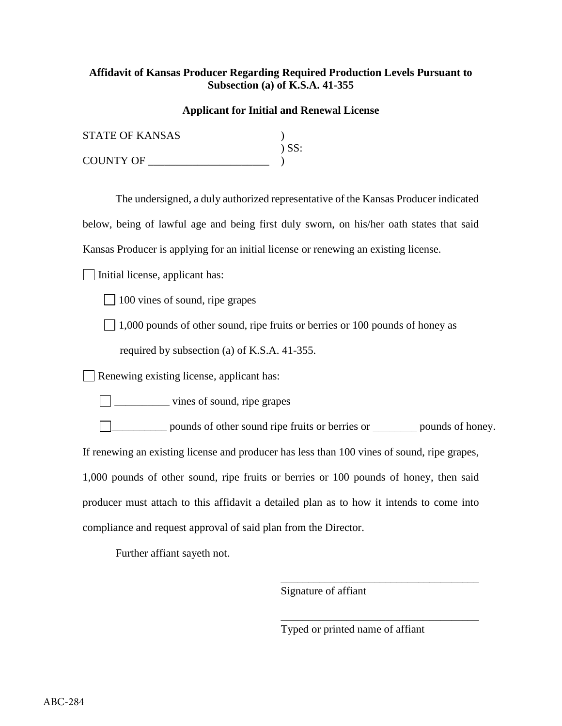## **Affidavit of Kansas Producer Regarding Required Production Levels Pursuant to Subsection (a) of K.S.A. 41-355**

## **Applicant for Initial and Renewal License**

| <b>STATE OF KANSAS</b> |            |
|------------------------|------------|
|                        | $\sum$ SS: |
| <b>COUNTY OF</b>       |            |

The undersigned, a duly authorized representative of the Kansas Producer indicated below, being of lawful age and being first duly sworn, on his/her oath states that said

Kansas Producer is applying for an initial license or renewing an existing license.

 $\Box$  Initial license, applicant has:

 $\Box$  100 vines of sound, ripe grapes

 $\Box$  1,000 pounds of other sound, ripe fruits or berries or 100 pounds of honey as

required by subsection (a) of K.S.A. 41-355.

Renewing existing license, applicant has:

\_\_\_\_\_\_\_\_\_\_ vines of sound, ripe grapes

\_\_\_\_\_\_\_\_\_\_ pounds of other sound ripe fruits or berries or \_\_\_\_\_\_\_\_ pounds of honey. If renewing an existing license and producer has less than 100 vines of sound, ripe grapes, 1,000 pounds of other sound, ripe fruits or berries or 100 pounds of honey, then said producer must attach to this affidavit a detailed plan as to how it intends to come into compliance and request approval of said plan from the Director.

Further affiant sayeth not.

Signature of affiant

Typed or printed name of affiant

\_\_\_\_\_\_\_\_\_\_\_\_\_\_\_\_\_\_\_\_\_\_\_\_\_\_\_\_\_\_\_\_\_\_\_\_

\_\_\_\_\_\_\_\_\_\_\_\_\_\_\_\_\_\_\_\_\_\_\_\_\_\_\_\_\_\_\_\_\_\_\_\_